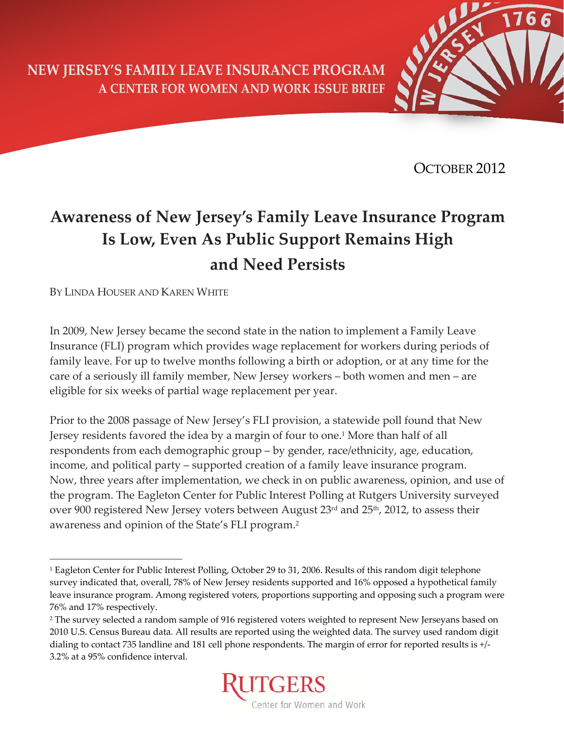**NEW JERSEY'S FAMILY LEAVE INSURANCE PROGRAM A CENTER FOR WOMEN AND WORK ISSUE BRIEF**



OCTOBER 2012

# **Awareness of New Jersey's Family Leave Insurance Program Is Low, Even As Public Support Remains High and Need Persists**

BY LINDA HOUSER AND KAREN WHITE

 $\overline{a}$ 

In 2009, New Jersey became the second state in the nation to implement a Family Leave Insurance (FLI) program which provides wage replacement for workers during periods of family leave. For up to twelve months following a birth or adoption, or at any time for the care of a seriously ill family member, New Jersey workers – both women and men – are eligible for six weeks of partial wage replacement per year.

Prior to the 2008 passage of New Jersey's FLI provision, a statewide poll found that New Jersey residents favored the idea by a margin of four to one.<sup>1</sup> More than half of all respondents from each demographic group – by gender, race/ethnicity, age, education, income, and political party – supported creation of a family leave insurance program. Now, three years after implementation, we check in on public awareness, opinion, and use of the program. The Eagleton Center for Public Interest Polling at Rutgers University surveyed over 900 registered New Jersey voters between August 23rd and 25<sup>th</sup>, 2012, to assess their awareness and opinion of the State's FLI program.2

<sup>2</sup> The survey selected a random sample of 916 registered voters weighted to represent New Jerseyans based on 2010 U.S. Census Bureau data. All results are reported using the weighted data. The survey used random digit dialing to contact 735 landline and 181 cell phone respondents. The margin of error for reported results is +/‐ 3.2% at a 95% confidence interval.



<sup>1</sup> Eagleton Center for Public Interest Polling, October 29 to 31, 2006. Results of this random digit telephone survey indicated that, overall, 78% of New Jersey residents supported and 16% opposed a hypothetical family leave insurance program. Among registered voters, proportions supporting and opposing such a program were 76% and 17% respectively.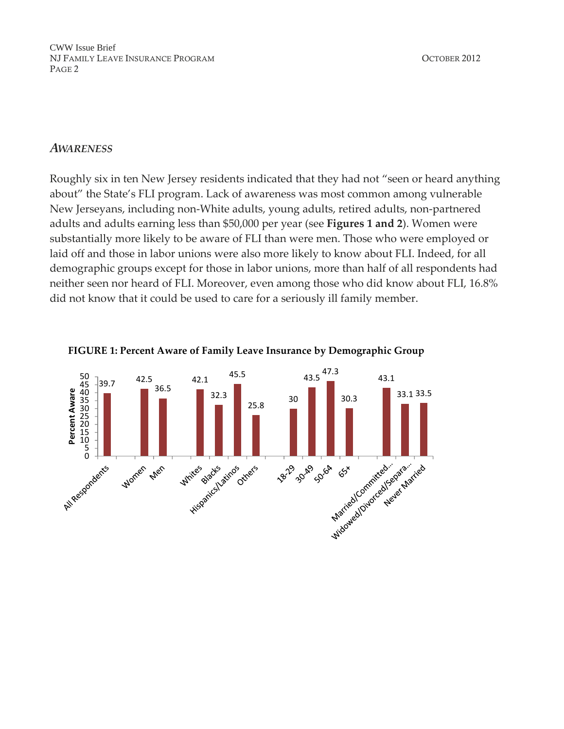### *AWARENESS*

Roughly six in ten New Jersey residents indicated that they had not "seen or heard anything about" the State's FLI program. Lack of awareness was most common among vulnerable New Jerseyans, including non‐White adults, young adults, retired adults, non‐partnered adults and adults earning less than \$50,000 per year (see **Figures 1 and 2**). Women were substantially more likely to be aware of FLI than were men. Those who were employed or laid off and those in labor unions were also more likely to know about FLI. Indeed, for all demographic groups except for those in labor unions, more than half of all respondents had neither seen nor heard of FLI. Moreover, even among those who did know about FLI, 16.8% did not know that it could be used to care for a seriously ill family member.



#### **FIGURE 1: Percent Aware of Family Leave Insurance by Demographic Group**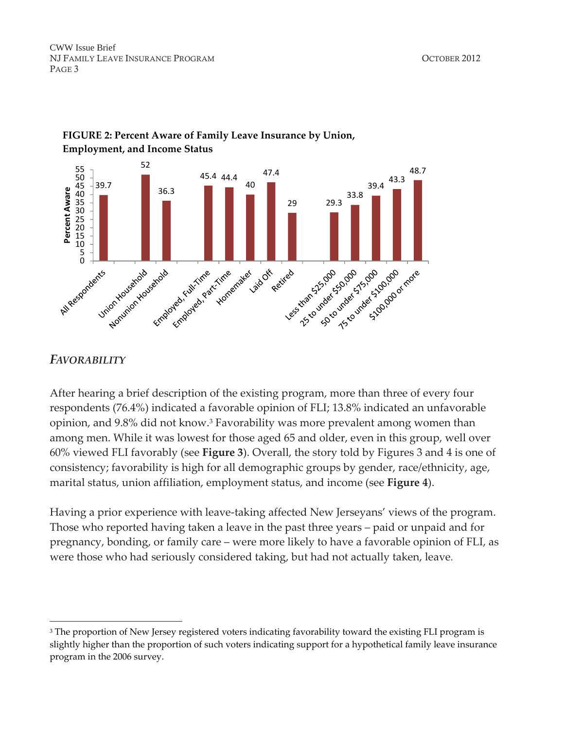

### **FIGURE 2: Percent Aware of Family Leave Insurance by Union, Employment, and Income Status**

### *FAVORABILITY*

-

After hearing a brief description of the existing program, more than three of every four respondents (76.4%) indicated a favorable opinion of FLI; 13.8% indicated an unfavorable opinion, and 9.8% did not know.3 Favorability was more prevalent among women than among men. While it was lowest for those aged 65 and older, even in this group, well over 60% viewed FLI favorably (see **Figure 3**). Overall, the story told by Figures 3 and 4 is one of consistency; favorability is high for all demographic groups by gender, race/ethnicity, age, marital status, union affiliation, employment status, and income (see **Figure 4**).

Having a prior experience with leave-taking affected New Jerseyans' views of the program. Those who reported having taken a leave in the past three years – paid or unpaid and for pregnancy, bonding, or family care – were more likely to have a favorable opinion of FLI, as were those who had seriously considered taking, but had not actually taken, leave.

<sup>&</sup>lt;sup>3</sup> The proportion of New Jersey registered voters indicating favorability toward the existing FLI program is slightly higher than the proportion of such voters indicating support for a hypothetical family leave insurance program in the 2006 survey.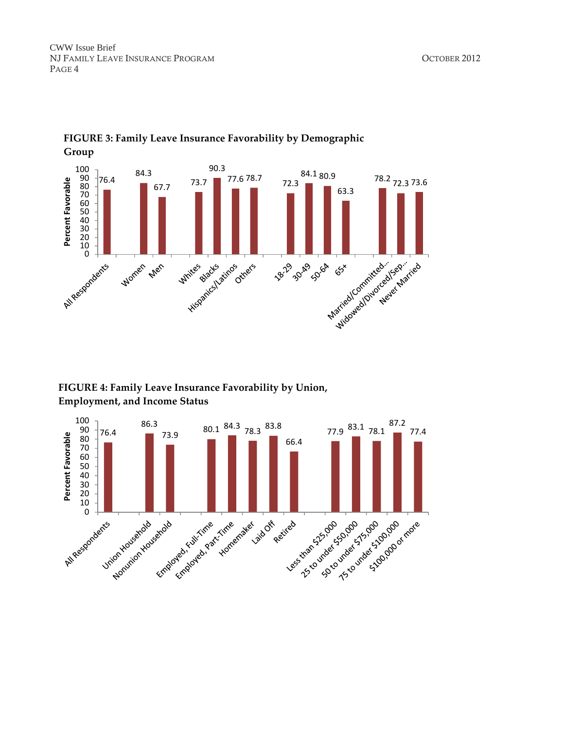

# **FIGURE 3: Family Leave Insurance Favorability by Demographic**



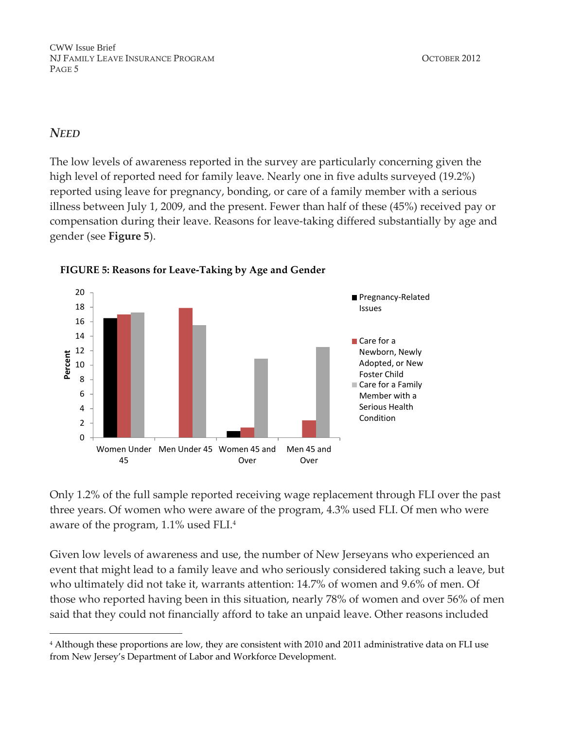### *NEED*

 $\overline{a}$ 

The low levels of awareness reported in the survey are particularly concerning given the high level of reported need for family leave. Nearly one in five adults surveyed (19.2%) reported using leave for pregnancy, bonding, or care of a family member with a serious illness between July 1, 2009, and the present. Fewer than half of these (45%) received pay or compensation during their leave. Reasons for leave-taking differed substantially by age and gender (see **Figure 5**).



**FIGURE 5: Reasons for Leave‐Taking by Age and Gender**

Only 1.2% of the full sample reported receiving wage replacement through FLI over the past three years. Of women who were aware of the program, 4.3% used FLI. Of men who were aware of the program, 1.1% used FLI.4

Given low levels of awareness and use, the number of New Jerseyans who experienced an event that might lead to a family leave and who seriously considered taking such a leave, but who ultimately did not take it, warrants attention: 14.7% of women and 9.6% of men. Of those who reported having been in this situation, nearly 78% of women and over 56% of men said that they could not financially afford to take an unpaid leave. Other reasons included

<sup>4</sup> Although these proportions are low, they are consistent with 2010 and 2011 administrative data on FLI use from New Jersey's Department of Labor and Workforce Development.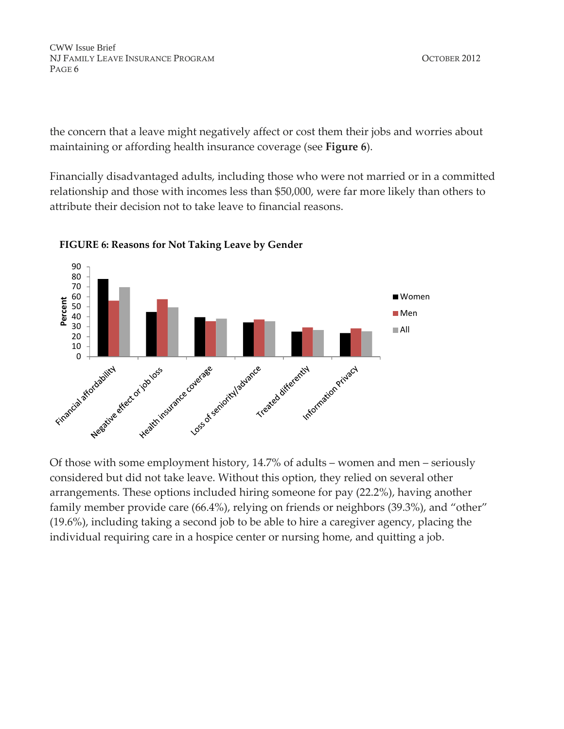the concern that a leave might negatively affect or cost them their jobs and worries about maintaining or affording health insurance coverage (see **Figure 6**).

Financially disadvantaged adults, including those who were not married or in a committed relationship and those with incomes less than \$50,000, were far more likely than others to attribute their decision not to take leave to financial reasons.



#### **FIGURE 6: Reasons for Not Taking Leave by Gender**

Of those with some employment history, 14.7% of adults – women and men – seriously considered but did not take leave. Without this option, they relied on several other arrangements. These options included hiring someone for pay (22.2%), having another family member provide care (66.4%), relying on friends or neighbors (39.3%), and "other" (19.6%), including taking a second job to be able to hire a caregiver agency, placing the individual requiring care in a hospice center or nursing home, and quitting a job.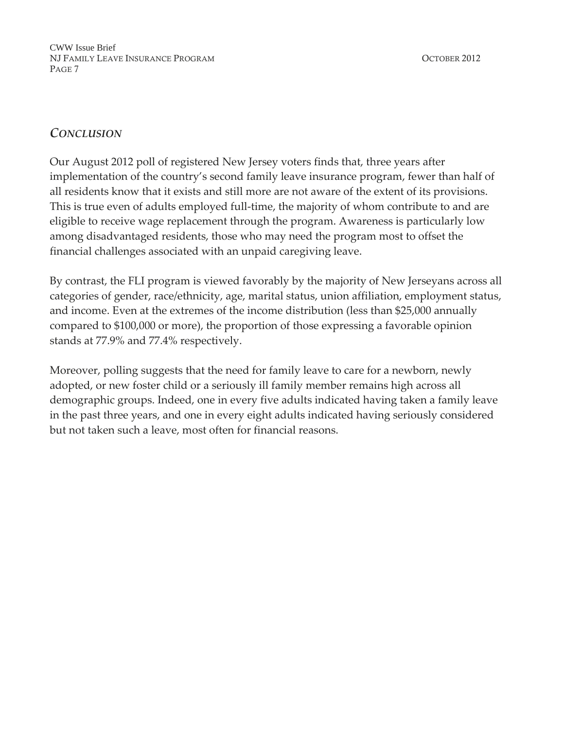## *CONCLUSION*

Our August 2012 poll of registered New Jersey voters finds that, three years after implementation of the country's second family leave insurance program, fewer than half of all residents know that it exists and still more are not aware of the extent of its provisions. This is true even of adults employed full‐time, the majority of whom contribute to and are eligible to receive wage replacement through the program. Awareness is particularly low among disadvantaged residents, those who may need the program most to offset the financial challenges associated with an unpaid caregiving leave.

By contrast, the FLI program is viewed favorably by the majority of New Jerseyans across all categories of gender, race/ethnicity, age, marital status, union affiliation, employment status, and income. Even at the extremes of the income distribution (less than \$25,000 annually compared to \$100,000 or more), the proportion of those expressing a favorable opinion stands at 77.9% and 77.4% respectively.

Moreover, polling suggests that the need for family leave to care for a newborn, newly adopted, or new foster child or a seriously ill family member remains high across all demographic groups. Indeed, one in every five adults indicated having taken a family leave in the past three years, and one in every eight adults indicated having seriously considered but not taken such a leave, most often for financial reasons.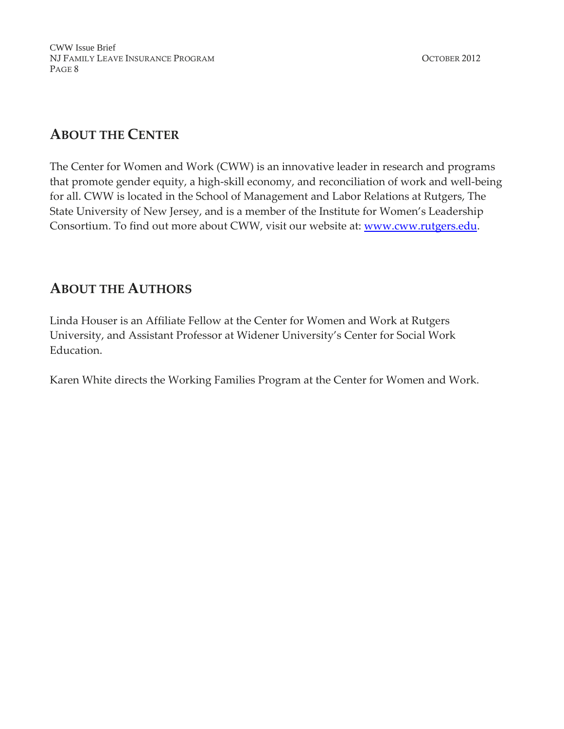# **ABOUT THE CENTER**

The Center for Women and Work (CWW) is an innovative leader in research and programs that promote gender equity, a high‐skill economy, and reconciliation of work and well‐being for all. CWW is located in the School of Management and Labor Relations at Rutgers, The State University of New Jersey, and is a member of the Institute for Women's Leadership Consortium. To find out more about CWW, visit our website at: **www.cww.rutgers.edu.** 

## **ABOUT THE AUTHORS**

Linda Houser is an Affiliate Fellow at the Center for Women and Work at Rutgers University, and Assistant Professor at Widener University's Center for Social Work Education.

Karen White directs the Working Families Program at the Center for Women and Work.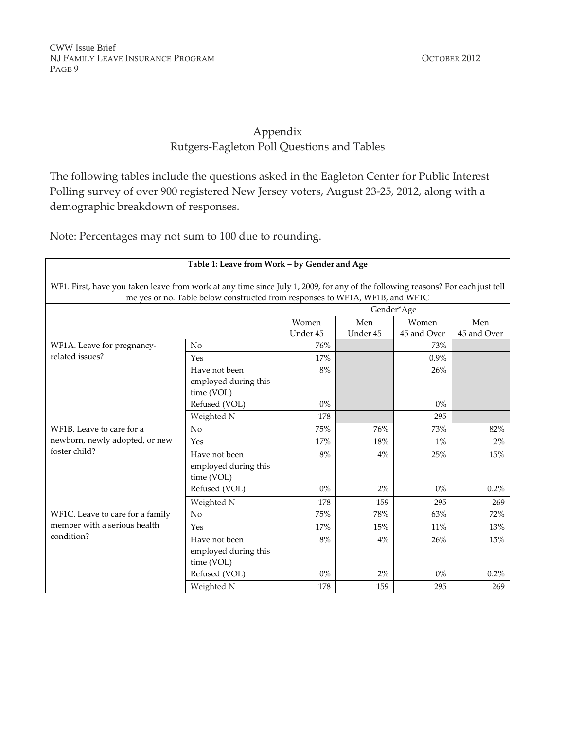### Appendix Rutgers‐Eagleton Poll Questions and Tables

The following tables include the questions asked in the Eagleton Center for Public Interest Polling survey of over 900 registered New Jersey voters, August 23‐25, 2012, along with a demographic breakdown of responses.

Note: Percentages may not sum to 100 due to rounding.

| Table 1: Leave from Work - by Gender and Age                                                                                                                                                                    |                                                     |                              |          |             |             |  |  |
|-----------------------------------------------------------------------------------------------------------------------------------------------------------------------------------------------------------------|-----------------------------------------------------|------------------------------|----------|-------------|-------------|--|--|
| WF1. First, have you taken leave from work at any time since July 1, 2009, for any of the following reasons? For each just tell<br>me yes or no. Table below constructed from responses to WF1A, WF1B, and WF1C |                                                     |                              |          |             |             |  |  |
|                                                                                                                                                                                                                 |                                                     | Gender*Age                   |          |             |             |  |  |
|                                                                                                                                                                                                                 |                                                     | Men<br>Women<br>Women<br>Men |          |             |             |  |  |
|                                                                                                                                                                                                                 |                                                     | Under 45                     | Under 45 | 45 and Over | 45 and Over |  |  |
| WF1A. Leave for pregnancy-                                                                                                                                                                                      | No                                                  | 76%                          |          | 73%         |             |  |  |
| related issues?                                                                                                                                                                                                 | Yes                                                 | 17%                          |          | $0.9\%$     |             |  |  |
|                                                                                                                                                                                                                 | Have not been<br>employed during this<br>time (VOL) | 8%                           |          | 26%         |             |  |  |
|                                                                                                                                                                                                                 | Refused (VOL)                                       | $0\%$                        |          | $0\%$       |             |  |  |
|                                                                                                                                                                                                                 | Weighted N                                          | 178                          |          | 295         |             |  |  |
| WF1B. Leave to care for a                                                                                                                                                                                       | No                                                  | 75%                          | 76%      | 73%         | 82%         |  |  |
| newborn, newly adopted, or new                                                                                                                                                                                  | Yes                                                 | 17%                          | 18%      | $1\%$       | 2%          |  |  |
| foster child?                                                                                                                                                                                                   | Have not been<br>employed during this<br>time (VOL) | 8%                           | 4%       | 25%         | 15%         |  |  |
|                                                                                                                                                                                                                 | Refused (VOL)                                       | $0\%$                        | 2%       | $0\%$       | 0.2%        |  |  |
|                                                                                                                                                                                                                 | Weighted N                                          | 178                          | 159      | 295         | 269         |  |  |
| WF1C. Leave to care for a family                                                                                                                                                                                | No                                                  | 75%                          | 78%      | 63%         | 72%         |  |  |
| member with a serious health                                                                                                                                                                                    | Yes                                                 | 17%                          | 15%      | 11%         | 13%         |  |  |
| condition?                                                                                                                                                                                                      | Have not been<br>employed during this<br>time (VOL) | 8%                           | 4%       | 26%         | 15%         |  |  |
|                                                                                                                                                                                                                 | Refused (VOL)                                       | $0\%$                        | 2%       | $0\%$       | 0.2%        |  |  |
|                                                                                                                                                                                                                 | Weighted N                                          | 178                          | 159      | 295         | 269         |  |  |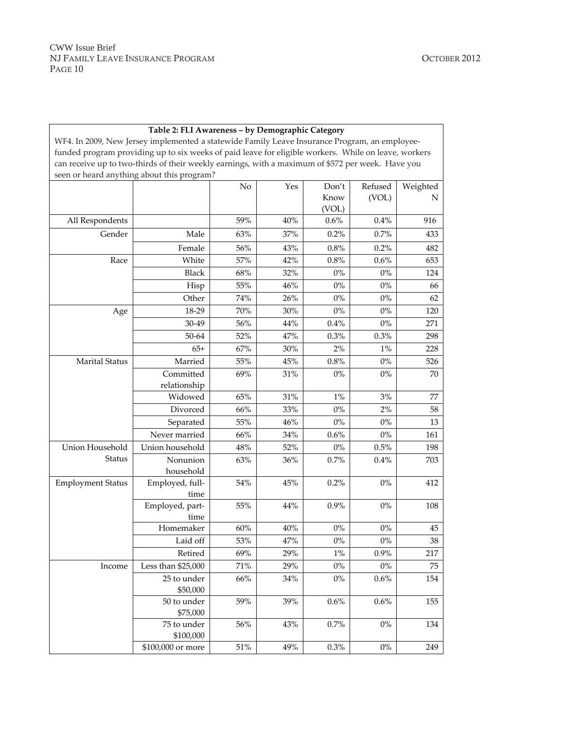|                          | WF4. In 2009, New Jersey implemented a statewide Family Leave Insurance Program, an employee-                                                   |        |     |         |         |               |
|--------------------------|-------------------------------------------------------------------------------------------------------------------------------------------------|--------|-----|---------|---------|---------------|
|                          | funded program providing up to six weeks of paid leave for eligible workers. While on leave, workers                                            |        |     |         |         |               |
|                          | can receive up to two-thirds of their weekly earnings, with a maximum of \$572 per week. Have you<br>seen or heard anything about this program? |        |     |         |         |               |
|                          |                                                                                                                                                 | No     | Yes | Don't   | Refused |               |
|                          |                                                                                                                                                 |        |     | Know    | (VOL)   | Weighted<br>N |
|                          |                                                                                                                                                 |        |     | (VOL)   |         |               |
| All Respondents          |                                                                                                                                                 | 59%    | 40% | $0.6\%$ | 0.4%    | 916           |
| Gender                   | Male                                                                                                                                            | 63%    | 37% | 0.2%    | 0.7%    | 433           |
|                          | Female                                                                                                                                          | 56%    | 43% | $0.8\%$ | 0.2%    | 482           |
| Race                     | White                                                                                                                                           | 57%    | 42% | 0.8%    | 0.6%    | 653           |
|                          | <b>Black</b>                                                                                                                                    | 68%    | 32% | $0\%$   | $0\%$   | 124           |
|                          | Hisp                                                                                                                                            | 55%    | 46% | $0\%$   | $0\%$   | 66            |
|                          | Other                                                                                                                                           | 74%    | 26% | $0\%$   | $0\%$   | 62            |
| Age                      | 18-29                                                                                                                                           | 70%    | 30% | $0\%$   | $0\%$   | 120           |
|                          | 30-49                                                                                                                                           | 56%    | 44% | $0.4\%$ | $0\%$   | 271           |
|                          | 50-64                                                                                                                                           | 52%    | 47% | 0.3%    | 0.3%    | 298           |
|                          | $65+$                                                                                                                                           | 67%    | 30% | $2\%$   | $1\%$   | 228           |
| <b>Marital Status</b>    | Married                                                                                                                                         | $55\%$ | 45% | $0.8\%$ | $0\%$   | 526           |
|                          | Committed                                                                                                                                       | 69%    | 31% | $0\%$   | $0\%$   | 70            |
|                          | relationship                                                                                                                                    |        |     |         |         |               |
|                          | Widowed                                                                                                                                         | 65%    | 31% | $1\%$   | 3%      | 77            |
|                          | Divorced                                                                                                                                        | 66%    | 33% | $0\%$   | $2\%$   | 58            |
|                          | Separated                                                                                                                                       | 55%    | 46% | $0\%$   | $0\%$   | 13            |
|                          | Never married                                                                                                                                   | 66%    | 34% | 0.6%    | $0\%$   | 161           |
| Union Household          | Union household                                                                                                                                 | 48%    | 52% | $0\%$   | 0.5%    | 198           |
| Status                   | Nonunion<br>household                                                                                                                           | 63%    | 36% | 0.7%    | 0.4%    | 703           |
| <b>Employment Status</b> | Employed, full-<br>time                                                                                                                         | $54\%$ | 45% | 0.2%    | $0\%$   | 412           |
|                          | Employed, part-<br>time                                                                                                                         | 55%    | 44% | 0.9%    | $0\%$   | 108           |
|                          | Homemaker                                                                                                                                       | $60\%$ | 40% | $0\%$   | $0\%$   | 45            |
|                          | Laid off                                                                                                                                        | 53%    | 47% | $0\%$   | $0\%$   | $38\,$        |
|                          | Retired                                                                                                                                         | 69%    | 29% | $1\%$   | 0.9%    | 217           |
| Income                   | Less than \$25,000                                                                                                                              | $71\%$ | 29% | $0\%$   | $0\%$   | 75            |
|                          | 25 to under<br>\$50,000                                                                                                                         | 66%    | 34% | $0\%$   | 0.6%    | 154           |
|                          | 50 to under<br>\$75,000                                                                                                                         | 59%    | 39% | 0.6%    | 0.6%    | 155           |
|                          | 75 to under<br>\$100,000                                                                                                                        | $56\%$ | 43% | 0.7%    | $0\%$   | 134           |
|                          | \$100,000 or more                                                                                                                               | $51\%$ | 49% | 0.3%    | $0\%$   | 249           |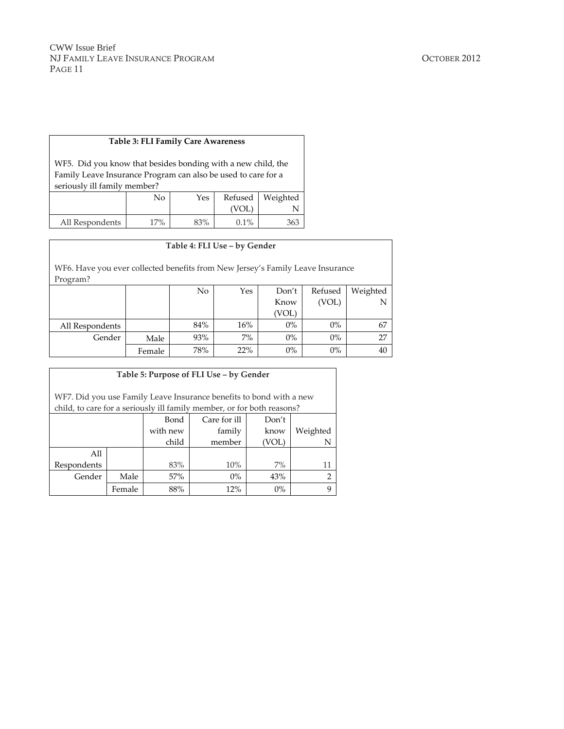#### **Table 3: FLI Family Care Awareness**

WF5. Did you know that besides bonding with a new child, the Family Leave Insurance Program can also be used to care for a seriously ill family member?

|                 | No  | Yes | VOL. | Refused   Weighted |
|-----------------|-----|-----|------|--------------------|
| All Respondents | 17% | 83% | 0.1% | 363                |

#### **Table 4: FLI Use – by Gender**

WF6. Have you ever collected benefits from New Jersey's Family Leave Insurance Program?

|                 |        | No  | Yes   | Don't | Refused | Weighted |
|-----------------|--------|-----|-------|-------|---------|----------|
|                 |        |     |       | Know  | (VOL)   |          |
|                 |        |     |       | (VOL) |         |          |
| All Respondents |        | 84% | 16%   | 0%    | $0\%$   | 67       |
| Gender          | Male   | 93% | $7\%$ | 0%    | $0\%$   |          |
|                 | Female | 78% | 22%   | 0%    | $0\%$   | 40       |

| Table 5: Purpose of FLI Use - by Gender                                                                                                       |        |          |              |       |          |  |  |
|-----------------------------------------------------------------------------------------------------------------------------------------------|--------|----------|--------------|-------|----------|--|--|
| WF7. Did you use Family Leave Insurance benefits to bond with a new<br>child, to care for a seriously ill family member, or for both reasons? |        |          |              |       |          |  |  |
|                                                                                                                                               |        | Bond     | Care for ill | Don't |          |  |  |
|                                                                                                                                               |        | with new | family       | know  | Weighted |  |  |
|                                                                                                                                               |        | child    | member       | (VOL) | N        |  |  |
| All                                                                                                                                           |        |          |              |       |          |  |  |
| Respondents                                                                                                                                   |        | 83%      | 10%          | $7\%$ | 11       |  |  |
| Gender                                                                                                                                        | Male   | 57%      | $0\%$        | 43%   | 2        |  |  |
|                                                                                                                                               | Female | 88%      | 12%          | $0\%$ | 9        |  |  |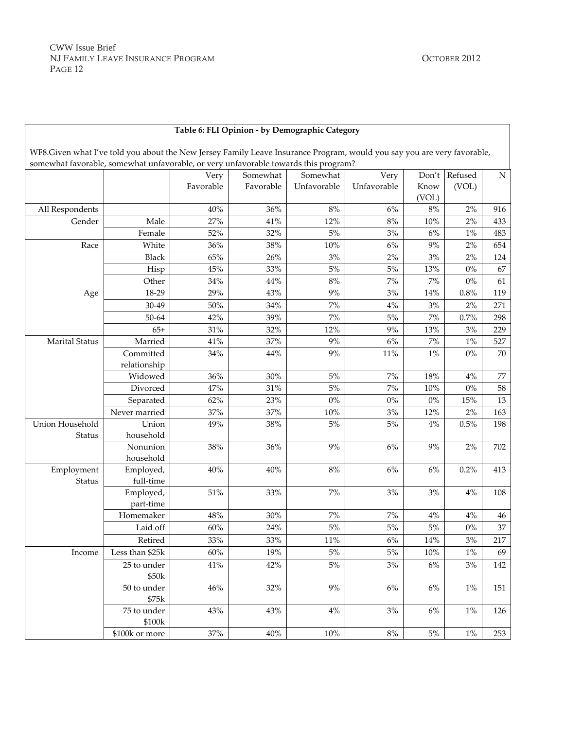| Table 6: FLI Opinion - by Demographic Category |
|------------------------------------------------|

WF8.Given what I've told you about the New Jersey Family Leave Insurance Program, would you say you are very favorable, somewhat favorable, somewhat unfavorable, or very unfavorable towards this program?

|                        |                 | Very      | Somewhat  | Somewhat    | Very        | Don't  | Refused | ${\rm N}$ |
|------------------------|-----------------|-----------|-----------|-------------|-------------|--------|---------|-----------|
|                        |                 | Favorable | Favorable | Unfavorable | Unfavorable | Know   | (VOL)   |           |
|                        |                 |           |           |             |             | (VOL)  |         |           |
| All Respondents        |                 | 40%       | 36%       | $8\%$       | 6%          | 8%     | 2%      | 916       |
| Gender                 | Male            | 27%       | 41%       | 12%         | 8%          | $10\%$ | 2%      | 433       |
|                        | Female          | 52%       | 32%       | $5\%$       | $3%$        | 6%     | $1\%$   | 483       |
| Race                   | White           | 36%       | 38%       | $10\%$      | $6\%$       | $9\%$  | 2%      | 654       |
|                        | <b>Black</b>    | 65%       | 26%       | 3%          | 2%          | 3%     | 2%      | 124       |
|                        | Hisp            | 45%       | 33%       | 5%          | $5\%$       | 13%    | $0\%$   | 67        |
|                        | Other           | 34%       | 44%       | $8\%$       | $7\%$       | $7\%$  | $0\%$   | 61        |
| Age                    | 18-29           | 29%       | 43%       | 9%          | 3%          | 14%    | 0.8%    | 119       |
|                        | 30-49           | 50%       | 34%       | 7%          | $4\%$       | 3%     | 2%      | 271       |
|                        | 50-64           | 42%       | 39%       | 7%          | $5\%$       | $7\%$  | 0.7%    | 298       |
|                        | $65+$           | 31%       | 32%       | 12%         | $9\%$       | 13%    | 3%      | 229       |
| <b>Marital Status</b>  | Married         | 41%       | 37%       | 9%          | 6%          | 7%     | $1\%$   | 527       |
|                        | Committed       | 34%       | 44%       | 9%          | 11%         | $1\%$  | 0%      | 70        |
|                        | relationship    |           |           |             |             |        |         |           |
|                        | Widowed         | 36%       | 30%       | $5\%$       | $7\%$       | 18%    | $4\%$   | 77        |
|                        | Divorced        | 47%       | 31%       | 5%          | 7%          | $10\%$ | $0\%$   | 58        |
|                        | Separated       | 62%       | 23%       | $0\%$       | $0\%$       | $0\%$  | 15%     | 13        |
|                        | Never married   | 37%       | 37%       | $10\%$      | 3%          | 12%    | 2%      | 163       |
| <b>Union Household</b> | Union           | 49%       | 38%       | 5%          | $5\%$       | 4%     | 0.5%    | 198       |
| Status                 | household       |           |           |             |             |        |         |           |
|                        | Nonunion        | 38%       | 36%       | 9%          | $6\%$       | 9%     | 2%      | 702       |
|                        | household       |           |           |             |             |        |         |           |
| Employment             | Employed,       | 40%       | 40%       | $8\%$       | $6\%$       | 6%     | 0.2%    | 413       |
| Status                 | full-time       |           |           |             |             |        |         |           |
|                        | Employed,       | 51%       | 33%       | 7%          | 3%          | 3%     | 4%      | $108\,$   |
|                        | part-time       |           |           |             |             |        |         |           |
|                        | Homemaker       | 48%       | 30%       | $7\%$       | $7\%$       | $4\%$  | $4\%$   | 46        |
|                        | Laid off        | 60%       | 24%       | 5%          | $5\%$       | 5%     | $0\%$   | 37        |
|                        | Retired         | 33%       | 33%       | $11\%$      | $6\%$       | 14%    | $3\%$   | 217       |
| Income                 | Less than \$25k | 60%       | 19%       | $5\%$       | $5\%$       | $10\%$ | $1\%$   | 69        |
|                        | 25 to under     | 41%       | 42%       | $5\%$       | 3%          | 6%     | 3%      | 142       |
|                        | \$50k           |           |           |             |             |        |         |           |
|                        | 50 to under     | 46%       | 32%       | 9%          | 6%          | $6\%$  | $1\%$   | 151       |
|                        | \$75k           |           |           |             |             |        |         |           |
|                        | 75 to under     | 43%       | 43%       | $4\%$       | 3%          | $6\%$  | $1\%$   | 126       |
|                        | \$100k          |           |           |             |             |        |         |           |
|                        | \$100k or more  | 37%       | $40\%$    | $10\%$      | $8\%$       | $5\%$  | $1\%$   | 253       |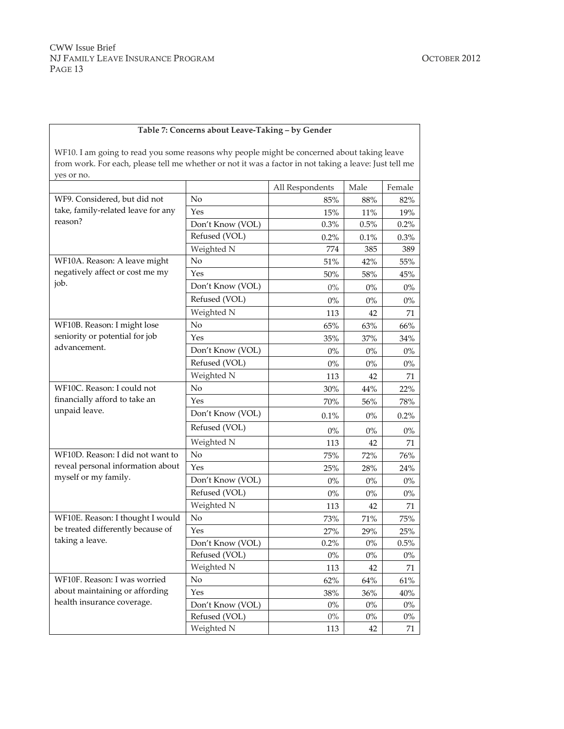#### **Table 7: Concerns about Leave‐Taking – by Gender**

WF10. I am going to read you some reasons why people might be concerned about taking leave from work. For each, please tell me whether or not it was a factor in not taking a leave: Just tell me yes or no.

|                                    |                  | All Respondents | Male    | Female |
|------------------------------------|------------------|-----------------|---------|--------|
| WF9. Considered, but did not       | No               | 85%             | 88%     | 82%    |
| take, family-related leave for any | Yes              | 15%             | 11%     | 19%    |
| reason?                            | Don't Know (VOL) | 0.3%            | 0.5%    | 0.2%   |
|                                    | Refused (VOL)    | 0.2%            | $0.1\%$ | 0.3%   |
|                                    | Weighted N       | 774             | 385     | 389    |
| WF10A. Reason: A leave might       | No               | $51\%$          | 42%     | 55%    |
| negatively affect or cost me my    | Yes              | 50%             | 58%     | 45%    |
| job.                               | Don't Know (VOL) | $0\%$           | $0\%$   | $0\%$  |
|                                    | Refused (VOL)    | $0\%$           | $0\%$   | $0\%$  |
|                                    | Weighted N       | 113             | 42      | 71     |
| WF10B. Reason: I might lose        | No               | 65%             | 63%     | 66%    |
| seniority or potential for job     | Yes              | 35%             | 37%     | 34%    |
| advancement.                       | Don't Know (VOL) | $0\%$           | $0\%$   | $0\%$  |
|                                    | Refused (VOL)    | $0\%$           | $0\%$   | $0\%$  |
|                                    | Weighted N       | 113             | 42      | 71     |
| WF10C. Reason: I could not         | No               | 30%             | 44%     | 22%    |
| financially afford to take an      | Yes              | 70%             | 56%     | 78%    |
| unpaid leave.                      | Don't Know (VOL) | 0.1%            | $0\%$   | 0.2%   |
|                                    | Refused (VOL)    | $0\%$           | $0\%$   | $0\%$  |
|                                    | Weighted N       | 113             | 42      | 71     |
| WF10D. Reason: I did not want to   | No               | 75%             | 72%     | 76%    |
| reveal personal information about  | Yes              | 25%             | 28%     | 24%    |
| myself or my family.               | Don't Know (VOL) | $0\%$           | $0\%$   | $0\%$  |
|                                    | Refused (VOL)    | $0\%$           | $0\%$   | $0\%$  |
|                                    | Weighted N       | 113             | 42      | 71     |
| WF10E. Reason: I thought I would   | No               | 73%             | 71%     | 75%    |
| be treated differently because of  | Yes              | 27%             | 29%     | 25%    |
| taking a leave.                    | Don't Know (VOL) | 0.2%            | $0\%$   | 0.5%   |
|                                    | Refused (VOL)    | $0\%$           | $0\%$   | $0\%$  |
|                                    | Weighted N       | 113             | 42      | 71     |
| WF10F. Reason: I was worried       | No               | 62%             | 64%     | 61%    |
| about maintaining or affording     | Yes              | 38%             | 36%     | 40%    |
| health insurance coverage.         | Don't Know (VOL) | $0\%$           | $0\%$   | $0\%$  |
|                                    | Refused (VOL)    | $0\%$           | $0\%$   | $0\%$  |
|                                    | Weighted N       | 113             | 42      | 71     |